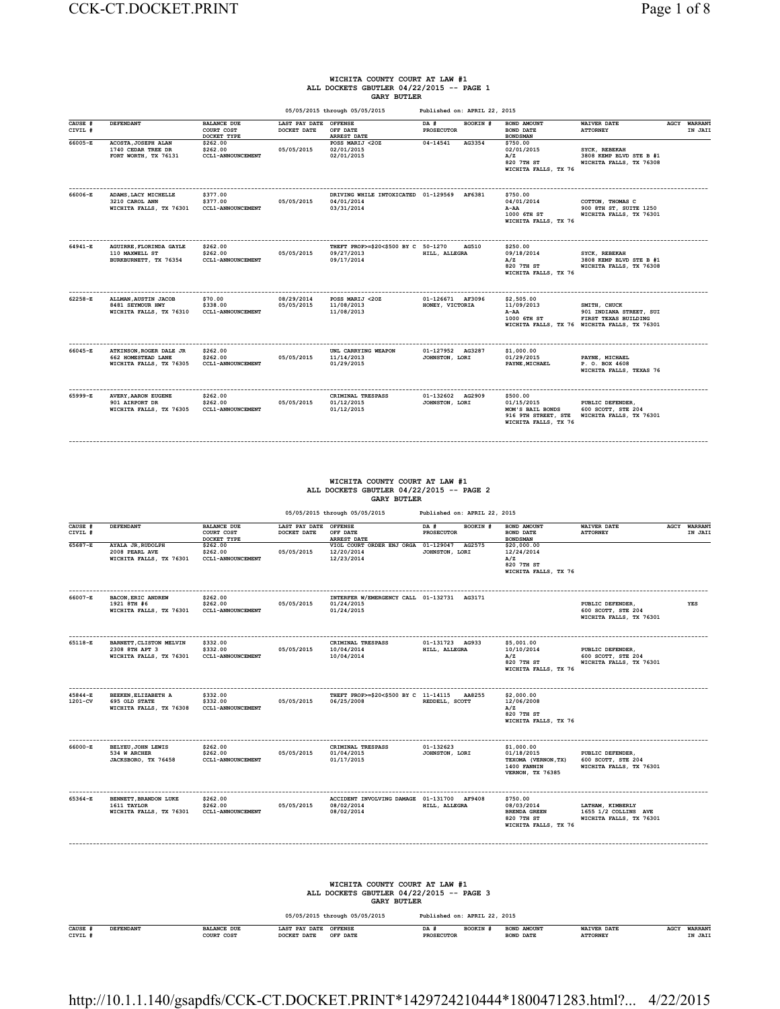#### **WICHITA COUNTY COURT AT LAW #1 ALL DOCKETS GBUTLER 04/22/2015 -- PAGE 1 GARY BUTLER**

|                    |                                                                                 |                                                  |                              | 05/05/2015 through 05/05/2015                                          | Published on: APRIL 22, 2015        |          |                                                                                           |                                                                                                                 |                                |
|--------------------|---------------------------------------------------------------------------------|--------------------------------------------------|------------------------------|------------------------------------------------------------------------|-------------------------------------|----------|-------------------------------------------------------------------------------------------|-----------------------------------------------------------------------------------------------------------------|--------------------------------|
| CAUSE #<br>CIVIL # | DEFENDANT                                                                       | <b>BALANCE DUE</b><br>COURT COST<br>DOCKET TYPE  | LAST PAY DATE<br>DOCKET DATE | <b>OFFENSE</b><br>OFF DATE<br><b>ARREST DATE</b>                       | DA #<br><b>PROSECUTOR</b>           | BOOKIN # | <b>BOND AMOUNT</b><br><b>BOND DATE</b><br><b>BONDSMAN</b>                                 | <b>WAIVER DATE</b><br><b>ATTORNEY</b>                                                                           | <b>AGCY WARRANT</b><br>IN JAIL |
| 66005-E            | ACOSTA, JOSEPH ALAN<br>1740 CEDAR TREE DR<br>FORT WORTH, TX 76131               | \$262.00<br>\$262.00<br><b>CCL1-ANNOUNCEMENT</b> | 05/05/2015                   | POSS MARIJ <20Z<br>02/01/2015<br>02/01/2015                            | 04-14541                            | AG3354   | \$750.00<br>02/01/2015<br>A/Z<br>820 7TH ST<br>WICHITA FALLS, TX 76                       | SYCK, REBEKAH<br>3808 KEMP BLVD STE B #1<br>WICHITA FALLS, TX 76308                                             |                                |
| 66006-E            | ADAMS, LACY MICHELLE<br>3210 CAROL ANN<br>WICHITA FALLS, TX 76301               | \$377.00<br>\$377.00<br><b>CCL1-ANNOUNCEMENT</b> | 05/05/2015                   | DRIVING WHILE INTOXICATED 01-129569 AF6381<br>04/01/2014<br>03/31/2014 |                                     |          | \$750.00<br>04/01/2014<br>A-AA<br>1000 6TH ST<br>WICHITA FALLS, TX 76                     | COTTON, THOMAS C<br>900 8TH ST, SUITE 1250<br>WICHITA FALLS, TX 76301                                           |                                |
| 64941-E            | AGUIRRE. FLORINDA GAYLE<br>110 MAXWELL ST<br>BURKBURNETT, TX 76354              | \$262.00<br>\$262.00<br><b>CCL1-ANNOUNCEMENT</b> | 05/05/2015                   | THEFT PROP>=\$20<\$500 BY C 50-1270<br>09/27/2013<br>09/17/2014        | HILL, ALLEGRA                       | AG510    | \$250.00<br>09/18/2014<br>A/Z<br>820 7TH ST<br>WICHITA FALLS, TX 76                       | SYCK, REBEKAH<br>3808 KEMP BLVD STE B #1<br>WICHITA FALLS, TX 76308                                             |                                |
| 62258-E            | ALLMAN, AUSTIN JACOB<br>8481 SEYMOUR HWY<br>WICHITA FALLS, TX 76310             | \$70.00<br>\$338.00<br><b>CCL1-ANNOUNCEMENT</b>  | 08/29/2014<br>05/05/2015     | POSS MARIJ <20Z<br>11/08/2013<br>11/08/2013                            | 01-126671 AF3096<br>HONEY, VICTORIA |          | \$2,505.00<br>11/09/2013<br>A-AA<br>1000 6TH ST                                           | SMITH, CHUCK<br>901 INDIANA STREET, SUI<br>FIRST TEXAS BUILDING<br>WICHITA FALLS, TX 76 WICHITA FALLS, TX 76301 |                                |
| 66045-E            | ATKINSON, ROGER DALE JR<br><b>662 HOMESTEAD LANE</b><br>WICHITA FALLS, TX 76305 | \$262.00<br>\$262.00<br><b>CCL1-ANNOUNCEMENT</b> | 05/05/2015                   | UNL CARRYING WEAPON<br>11/14/2013<br>01/29/2015                        | 01-127952 AG3287<br>JOHNSTON, LORI  |          | \$1,000.00<br>01/29/2015<br>PAYNE, MICHAEL                                                | PAYNE, MICHAEL<br>P. O. BOX 4608<br>WICHITA FALLS, TEXAS 76                                                     |                                |
| 65999-E            | <b>AVERY, AARON EUGENE</b><br>901 AIRPORT DR<br>WICHITA FALLS, TX 76305         | \$262.00<br>\$262.00<br><b>CCL1-ANNOUNCEMENT</b> | 05/05/2015                   | CRIMINAL TRESPASS<br>01/12/2015<br>01/12/2015                          | 01-132602 AG2909<br>JOHNSTON, LORI  |          | \$500.00<br>01/15/2015<br>MOM'S BAIL BONDS<br>916 9TH STREET, STE<br>WICHITA FALLS, TX 76 | PUBLIC DEFENDER,<br>600 SCOTT, STE 204<br>WICHITA FALLS, TX 76301                                               |                                |

## **WICHITA COUNTY COURT AT LAW #1 ALL DOCKETS GBUTLER 04/22/2015 -- PAGE 2 GARY BUTLER**

**------------------------------------------------------------------------------------------------------------------------------------------------------------------------------------------**

 **05/05/2015 through 05/05/2015 Published on: APRIL 22, 2015**

| CAUSE #<br>CIVIL # | DEFENDANT                                                                               | <b>BALANCE DUE</b><br>COURT COST<br>DOCKET TYPE  | LAST PAY DATE<br>DOCKET DATE | <b>OFFENSE</b><br>OFF DATE<br><b>ARREST DATE</b>                                                 | BOOKIN #<br>DA #<br><b>PROSECUTOR</b>   | BOND AMOUNT<br><b>BOND DATE</b><br><b>BONDSMAN</b>                                        | <b>WAIVER DATE</b><br><b>ATTORNEY</b>                               | <b>AGCY WARRANT</b><br>IN JAII |
|--------------------|-----------------------------------------------------------------------------------------|--------------------------------------------------|------------------------------|--------------------------------------------------------------------------------------------------|-----------------------------------------|-------------------------------------------------------------------------------------------|---------------------------------------------------------------------|--------------------------------|
| $65687 - E$        | AYALA JR, RUDOLPH<br>2008 PEARL AVE<br>WICHITA FALLS, TX 76301                          | \$262.00<br>\$262.00<br><b>CCL1-ANNOUNCEMENT</b> | 05/05/2015                   | VIOL COURT ORDER ENJ ORGA 01-129047<br>12/20/2014<br>12/23/2014                                  | AG2575<br>JOHNSTON, LORI                | \$20,000.00<br>12/24/2014<br>A/Z<br>820 7TH ST<br>WICHITA FALLS, TX 76                    |                                                                     |                                |
| 66007-E            | <b>BACON, ERIC ANDREW</b><br>1921 8TH #6<br>WICHITA FALLS, TX 76301                     | \$262.00<br>\$262.00<br>CCL1-ANNOUNCEMENT        | 05/05/2015                   | INTERFER W/EMERGENCY CALL 01-132731 AG3171<br>01/24/2015<br>01/24/2015                           |                                         |                                                                                           | PUBLIC DEFENDER,<br>600 SCOTT, STE 204<br>WICHITA FALLS, TX 76301   | <b>YES</b>                     |
| 65118-E            | BARNETT, CLISTON MELVIN<br>2308 8TH APT 3<br>WICHITA FALLS, TX 76301                    | \$332.00<br>\$332.00<br><b>CCL1-ANNOUNCEMENT</b> | 05/05/2015                   | CRIMINAL TRESPASS<br>10/04/2014<br>10/04/2014                                                    | 01-131723 AG933<br>HILL, ALLEGRA        | \$5,001.00<br>10/10/2014<br>A/Z<br>820 7TH ST<br>WICHITA FALLS, TX 76                     | PUBLIC DEFENDER,<br>600 SCOTT, STE 204<br>WICHITA FALLS, TX 76301   |                                |
| 45844-E<br>1201-CV | --------------------<br>BEEKEN, ELIZABETH A<br>695 OLD STATE<br>WICHITA FALLS, TX 76308 | \$332.00<br>\$332.00<br>CCL1-ANNOUNCEMENT        | 05/05/2015                   | THEFT PROP>=\$20<\$500 BY C 11-14115<br>06/25/2008                                               | AA8255<br>REDDELL, SCOTT                | \$2,000.00<br>12/06/2008<br>A/Z<br>820 7TH ST<br>WICHITA FALLS, TX 76                     |                                                                     |                                |
| 66000-E            | BELYEU, JOHN LEWIS<br>534 W ARCHER<br>JACKSBORO, TX 76458                               | \$262.00<br>\$262.00<br>CCL1-ANNOUNCEMENT        | 05/05/2015                   | CRIMINAL TRESPASS<br>01/04/2015<br>01/17/2015                                                    | 01-132623<br>JOHNSTON, LORI             | \$1,000.00<br>01/18/2015<br>TEXOMA (VERNON, TX)<br>1400 FANNIN<br><b>VERNON, TX 76385</b> | PUBLIC DEFENDER.<br>600 SCOTT, STE 204<br>WICHITA FALLS, TX 76301   |                                |
| 65364-E            | BENNETT, BRANDON LUKE<br>1611 TAYLOR<br>WICHITA FALLS, TX 76301                         | \$262.00<br>\$262.00<br>CCL1-ANNOUNCEMENT        | 05/05/2015                   | ACCIDENT INVOLVING DAMAGE 01-131700 AF9408<br>08/02/2014<br>08/02/2014                           | HILL, ALLEGRA                           | \$750.00<br>08/03/2014<br><b>BRENDA GREEN</b><br>820 7TH ST<br>WICHITA FALLS, TX 76       | LATHAM, KIMBERLY<br>1655 1/2 COLLINS AVE<br>WICHITA FALLS, TX 76301 |                                |
|                    |                                                                                         |                                                  |                              | WICHITA COUNTY COURT AT LAW #1<br>ALL DOCKETS GBUTLER 04/22/2015 -- PAGE 3<br><b>GARY BUTLER</b> |                                         |                                                                                           |                                                                     |                                |
|                    |                                                                                         |                                                  |                              | 05/05/2015 through 05/05/2015                                                                    | Published on: APRIL 22, 2015            |                                                                                           |                                                                     |                                |
| CAUSE #<br>CIVIL # | DEFENDANT                                                                               | <b>BALANCE DUE</b><br>COURT COST                 | LAST PAY DATE<br>DOCKET DATE | <b>OFFENSE</b><br>OFF DATE                                                                       | $DA$ #<br>BOOKIN #<br><b>PROSECUTOR</b> | BOND AMOUNT<br><b>BOND DATE</b>                                                           | <b>WAIVER DATE</b><br><b>ATTORNEY</b>                               | AGCY WARRANT<br>IN JAIL        |

#### http://10.1.1.140/gsapdfs/CCK-CT.DOCKET.PRINT\*1429724210444\*1800471283.html?... 4/22/2015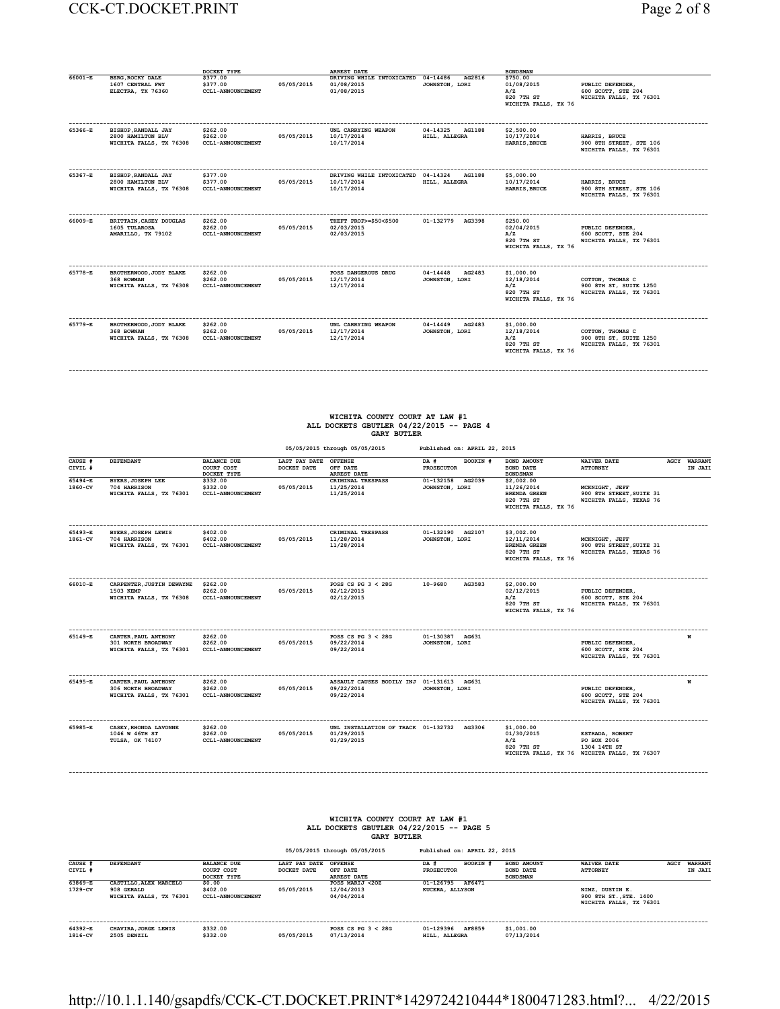| Page 2 of 8 |  |
|-------------|--|
|             |  |

**------------------------------------------------------------------------------------------------------------------------------------------------------------------------------------------**

|         |                                                                     | DOCKET TYPE                                      |            | ARREST DATE                                                    |                                      | <b>BONDSMAN</b>                                                       |                                                                       |
|---------|---------------------------------------------------------------------|--------------------------------------------------|------------|----------------------------------------------------------------|--------------------------------------|-----------------------------------------------------------------------|-----------------------------------------------------------------------|
| 66001-E | <b>BERG. ROCKY DALE</b><br>1607 CENTRAL FWY<br>ELECTRA, TX 76360    | \$377.00<br>\$377.00<br><b>CCL1-ANNOUNCEMENT</b> | 05/05/2015 | DRIVING WHILE INTOXICATED 04-14486<br>01/08/2015<br>01/08/2015 | AG2816<br>JOHNSTON, LORI             | \$750.00<br>01/08/2015<br>A/Z<br>820 7TH ST<br>WICHITA FALLS, TX 76   | PUBLIC DEFENDER,<br>600 SCOTT, STE 204<br>WICHITA FALLS, TX 76301     |
| 65366-E | BISHOP, RANDALL JAY<br>2800 HAMILTON BLV<br>WICHITA FALLS, TX 76308 | \$262.00<br>\$262.00<br><b>CCL1-ANNOUNCEMENT</b> | 05/05/2015 | UNL CARRYING WEAPON<br>10/17/2014<br>10/17/2014                | 04-14325 AG1188<br>HILL, ALLEGRA     | \$2,500.00<br>10/17/2014<br>HARRIS, BRUCE                             | HARRIS, BRUCE<br>900 8TH STREET, STE 106<br>WICHITA FALLS, TX 76301   |
| 65367-E | BISHOP, RANDALL JAY<br>2800 HAMILTON BLV<br>WICHITA FALLS, TX 76308 | \$377.00<br>\$377.00<br><b>CCL1-ANNOUNCEMENT</b> | 05/05/2015 | DRIVING WHILE INTOXICATED 04-14324<br>10/17/2014<br>10/17/2014 | AG1188<br>HILL, ALLEGRA              | \$5,000.00<br>10/17/2014<br>HARRIS, BRUCE                             | HARRIS, BRUCE<br>900 8TH STREET, STE 106<br>WICHITA FALLS, TX 76301   |
| 66009-E | BRITTAIN, CASEY DOUGLAS<br>1605 TULAROSA<br>AMARILLO, TX 79102      | \$262.00<br>\$262.00<br><b>CCL1-ANNOUNCEMENT</b> | 05/05/2015 | THEFT PROP>=\$50<\$500<br>02/03/2015<br>02/03/2015             | 01-132779 AG3398                     | \$250.00<br>02/04/2015<br>A/Z<br>820 7TH ST<br>WICHITA FALLS, TX 76   | PUBLIC DEFENDER,<br>600 SCOTT, STE 204<br>WICHITA FALLS, TX 76301     |
| 65778-E | BROTHERWOOD, JODY BLAKE<br>368 BOWMAN<br>WICHITA FALLS, TX 76308    | \$262.00<br>\$262.00<br><b>CCL1-ANNOUNCEMENT</b> | 05/05/2015 | POSS DANGEROUS DRUG<br>12/17/2014<br>12/17/2014                | 04-14448<br>AG2483<br>JOHNSTON, LORI | \$1,000.00<br>12/18/2014<br>A/Z<br>820 7TH ST<br>WICHITA FALLS, TX 76 | COTTON, THOMAS C<br>900 8TH ST, SUITE 1250<br>WICHITA FALLS, TX 76301 |
| 65779-E | BROTHERWOOD, JODY BLAKE<br>368 BOWNAN<br>WICHITA FALLS, TX 76308    | \$262.00<br>\$262.00<br><b>CCL1-ANNOUNCEMENT</b> | 05/05/2015 | UNL CARRYING WEAPON<br>12/17/2014<br>12/17/2014                | 04-14449<br>AG2483<br>JOHNSTON, LORI | \$1,000.00<br>12/18/2014<br>A/Z<br>820 7TH ST<br>WICHITA FALLS, TX 76 | COTTON, THOMAS C<br>900 8TH ST, SUITE 1250<br>WICHITA FALLS, TX 76301 |

# **WICHITA COUNTY COURT AT LAW #1 ALL DOCKETS GBUTLER 04/22/2015 -- PAGE 4 GARY BUTLER**

**------------------------------------------------------------------------------------------------------------------------------------------------------------------------------------------**

|                        |                                                                              |                                                  |                              | 05/05/2015 through 05/05/2015                                          | Published on: APRIL 22, 2015          |                                                                                       |                                                                                                |                         |
|------------------------|------------------------------------------------------------------------------|--------------------------------------------------|------------------------------|------------------------------------------------------------------------|---------------------------------------|---------------------------------------------------------------------------------------|------------------------------------------------------------------------------------------------|-------------------------|
| CAUSE #<br>CIVIL #     | DEFENDANT                                                                    | <b>BALANCE DUE</b><br>COURT COST<br>DOCKET TYPE  | LAST PAY DATE<br>DOCKET DATE | <b>OFFENSE</b><br>OFF DATE<br><b>ARREST DATE</b>                       | DA #<br>BOOKIN #<br><b>PROSECUTOR</b> | BOND AMOUNT<br><b>BOND DATE</b><br><b>BONDSMAN</b>                                    | <b>WAIVER DATE</b><br><b>ATTORNEY</b>                                                          | AGCY WARRANT<br>IN JAIL |
| $65494 - E$<br>1860-CV | <b>BYERS, JOSEPH LEE</b><br>704 HARRISON<br>WICHITA FALLS, TX 76301          | \$332.00<br>\$332.00<br><b>CCL1-ANNOUNCEMENT</b> | 05/05/2015                   | CRIMINAL TRESPASS<br>11/25/2014<br>11/25/2014                          | 01-132158<br>AG2039<br>JOHNSTON, LORI | \$2,002.00<br>11/26/2014<br><b>BRENDA GREEN</b><br>820 7TH ST<br>WICHITA FALLS, TX 76 | MCKNIGHT, JEFF<br>900 8TH STREET, SUITE 31<br>WICHITA FALLS, TEXAS 76                          |                         |
| 65493-E<br>1861-CV     | <b>BYERS.JOSEPH LEWIS</b><br>704 HARRISON<br>WICHITA FALLS, TX 76301         | \$402.00<br>\$402.00<br><b>CCL1-ANNOUNCEMENT</b> | 05/05/2015                   | CRIMINAL TRESPASS<br>11/28/2014<br>11/28/2014                          | 01-132190 AG2107<br>JOHNSTON, LORI    | \$3,002.00<br>12/11/2014<br><b>BRENDA GREEN</b><br>820 7TH ST<br>WICHITA FALLS, TX 76 | MCKNIGHT, JEFF<br>900 8TH STREET, SUITE 31<br>WICHITA FALLS, TEXAS 76                          |                         |
| 66010-E                | CARPENTER, JUSTIN DEWAYNE<br>1503 KEMP<br>WICHITA FALLS, TX 76308            | \$262.00<br>\$262.00<br><b>CCL1-ANNOUNCEMENT</b> | 05/05/2015                   | POSS CS PG $3 < 28$ G<br>02/12/2015<br>02/12/2015                      | 10-9680<br>AG3583                     | \$2,000.00<br>02/12/2015<br>A/Z<br>820 7TH ST<br>WICHITA FALLS, TX 76                 | PUBLIC DEFENDER,<br>600 SCOTT, STE 204<br>WICHITA FALLS, TX 76301                              |                         |
| 65149-E                | CARTER, PAUL ANTHONY<br><b>301 NORTH BROADWAY</b><br>WICHITA FALLS, TX 76301 | \$262.00<br>\$262.00<br><b>CCL1-ANNOUNCEMENT</b> | 05/05/2015                   | POSS CS PG $3 < 28$ G<br>09/22/2014<br>09/22/2014                      | 01-130387 AG631<br>JOHNSTON, LORI     |                                                                                       | PUBLIC DEFENDER,<br>600 SCOTT, STE 204<br>WICHITA FALLS, TX 76301                              |                         |
| 65495-E                | CARTER, PAUL ANTHONY<br><b>306 NORTH BROADWAY</b><br>WICHITA FALLS, TX 76301 | \$262.00<br>\$262.00<br><b>CCL1-ANNOUNCEMENT</b> | 05/05/2015                   | ASSAULT CAUSES BODILY INJ 01-131613 AG631<br>09/22/2014<br>09/22/2014  | JOHNSTON, LORI                        |                                                                                       | PUBLIC DEFENDER,<br>600 SCOTT, STE 204<br>WICHITA FALLS, TX 76301                              | M                       |
| 65985-E                | CASEY, RHONDA LAVONNE<br>1046 W 46TH ST<br>TULSA, OK 74107                   | \$262.00<br>\$262.00<br><b>CCL1-ANNOUNCEMENT</b> | 05/05/2015                   | UNL INSTALLATION OF TRACK 01-132732 AG3306<br>01/29/2015<br>01/29/2015 |                                       | \$1,000.00<br>01/30/2015<br>A/Z<br>820 7TH ST                                         | ESTRADA, ROBERT<br>PO BOX 2006<br>1304 14TH ST<br>WICHITA FALLS, TX 76 WICHITA FALLS, TX 76307 |                         |

| WICHITA COUNTY COURT AT LAW #1           |
|------------------------------------------|
| ALL DOCKETS GBUTLER 04/22/2015 -- PAGE 5 |
| <b>GARY BUTLER</b>                       |

|                    |                                                                 |                                                 |                              | 05/05/2015 through 05/05/2015                    | Published on: APRIL 22, 2015 |          |                                                    |                                                                      |      |                           |
|--------------------|-----------------------------------------------------------------|-------------------------------------------------|------------------------------|--------------------------------------------------|------------------------------|----------|----------------------------------------------------|----------------------------------------------------------------------|------|---------------------------|
| CAUSE #<br>CIVIL # | DEFENDANT                                                       | <b>BALANCE DUE</b><br>COURT COST<br>DOCKET TYPE | LAST PAY DATE<br>DOCKET DATE | <b>OFFENSE</b><br>OFF DATE<br><b>ARREST DATE</b> | DA #<br>PROSECUTOR           | BOOKIN # | BOND AMOUNT<br><b>BOND DATE</b><br><b>BONDSMAN</b> | <b>WAIVER DATE</b><br><b>ATTORNEY</b>                                | AGCY | <b>WARRANT</b><br>IN JAII |
| 63869-E<br>1729-CV | CASTILLO, ALEX MARCELO<br>908 GERALD<br>WICHITA FALLS, TX 76301 | \$0.00<br>\$402.00<br><b>CCL1-ANNOUNCEMENT</b>  | 05/05/2015                   | POSS MARIJ <20Z<br>12/04/2013<br>04/04/2014      | 01-126795<br>KUCERA, ALLYSON | AF6471   |                                                    | NIMZ, DUSTIN E.<br>900 8TH ST., STE. 1400<br>WICHITA FALLS, TX 76301 |      |                           |
| 64392-E<br>1816-CV | CHAVIRA, JORGE LEWIS<br>2505 DENZIL                             | \$332.00<br>\$332.00                            | 05/05/2015                   | POSS CS PG $3 < 28$ G<br>07/13/2014              | 01-129396<br>HILL, ALLEGRA   | AF8859   | \$1,001.00<br>07/13/2014                           |                                                                      |      |                           |

http://10.1.1.140/gsapdfs/CCK-CT.DOCKET.PRINT\*1429724210444\*1800471283.html?... 4/22/2015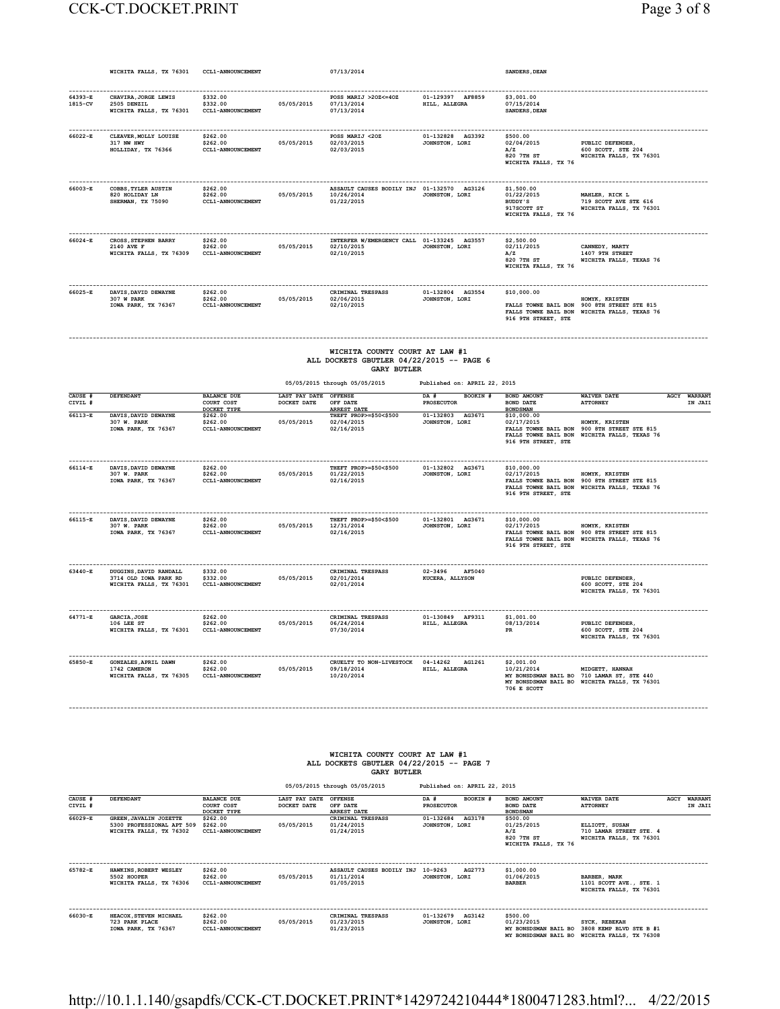#### CCK-CT.DOCKET.PRINT Page 3 of 8

|                    | WICHITA FALLS, TX 76301                                                            | CCL1-ANNOUNCEMENT                                        |                                      | 07/13/2014                                                                                       |                                          | SANDERS, DEAN                                                                                                       |                                                                                          |                         |
|--------------------|------------------------------------------------------------------------------------|----------------------------------------------------------|--------------------------------------|--------------------------------------------------------------------------------------------------|------------------------------------------|---------------------------------------------------------------------------------------------------------------------|------------------------------------------------------------------------------------------|-------------------------|
| 64393-E<br>1815-CV | CHAVIRA, JORGE LEWIS<br>2505 DENZIL<br>WICHITA FALLS, TX 76301                     | \$332.00<br>\$332.00<br>CCL1-ANNOUNCEMENT                | 05/05/2015                           | POSS MARIJ >20Z<=40Z<br>07/13/2014<br>07/13/2014                                                 | 01-129397 AF8859<br>HILL, ALLEGRA        | \$3,001.00<br>07/15/2014<br>SANDERS, DEAN                                                                           |                                                                                          |                         |
| 66022-E            | CLEAVER, MOLLY LOUISE<br>317 NW HWY<br>HOLLIDAY, TX 76366                          | \$262.00<br>\$262.00<br><b>CCL1-ANNOUNCEMENT</b>         | 05/05/2015                           | DOSS MART.T <202<br>02/03/2015<br>02/03/2015                                                     | 01-132828 AG3392<br>JOHNSTON, LORI       | \$500.00<br>02/04/2015<br>A/Z<br>820 7TH ST<br>WICHITA FALLS, TX 76                                                 | PUBLIC DEFENDER,<br>600 SCOTT, STE 204<br>WICHITA FALLS, TX 76301                        |                         |
| 66003-E            | COBBS. TYLER AUSTIN<br>820 HOLIDAY LN<br>SHERMAN, TX 75090                         | \$262.00<br>\$262.00<br>CCL1-ANNOUNCEMENT                | 05/05/2015                           | ASSAULT CAUSES BODILY INJ 01-132570 AG3126<br>10/26/2014<br>01/22/2015                           | JOHNSTON, LORI                           | \$1,500,00<br>01/22/2015<br>BUDDY'S<br>917SCOTT ST<br>WICHITA FALLS, TX 76                                          | MAHLER, RICK L<br>719 SCOTT AVE STE 616<br>WICHITA FALLS, TX 76301                       |                         |
| -------<br>66024-E | -----------------<br>CROSS, STEPHEN BARRY<br>2140 AVE F<br>WICHITA FALLS, TX 76309 | ---------<br>\$262.00<br>\$262.00<br>CCL1-ANNOUNCEMENT   | 05/05/2015                           | INTERFER W/EMERGENCY CALL 01-133245 AG3557<br>02/10/2015<br>02/10/2015                           | JOHNSTON, LORI                           | --------------<br>\$2,500.00<br>02/11/2015<br>A/Z<br>820 7TH ST<br>WICHITA FALLS, TX 76                             | .<br>CANNEDY, MARTY<br>1407 9TH STREET<br>WICHITA FALLS, TEXAS 76                        |                         |
| 66025-E            | DAVIS.DAVID DEWAYNE<br>307 W PARK<br>IOWA PARK, TX 76367                           | \$262.00<br>\$262.00<br>CCL1-ANNOUNCEMENT                | 05/05/2015                           | CRIMINAL TRESPASS<br>02/06/2015<br>02/10/2015                                                    | 01-132804 AG3554<br>JOHNSTON, LORI       | \$10,000.00<br>FALLS TOWNE BAIL BON<br>FALLS TOWNE BAIL BON<br>916 9TH STREET, STE                                  | HOMYK, KRISTEN<br>900 8TH STREET STE 815<br>WICHITA FALLS, TEXAS 76                      |                         |
|                    |                                                                                    |                                                          |                                      | WICHITA COUNTY COURT AT LAW #1<br>ALL DOCKETS GBUTLER 04/22/2015 -- PAGE 6<br><b>GARY BUTLER</b> |                                          |                                                                                                                     |                                                                                          |                         |
|                    |                                                                                    |                                                          |                                      | 05/05/2015 through 05/05/2015                                                                    | Published on: APRIL 22, 2015             |                                                                                                                     |                                                                                          |                         |
| CAUSE #<br>CIVIL # | <b>DEFENDANT</b>                                                                   | <b>BALANCE DUE</b><br>COURT COST                         | LAST PAY DATE OFFENSE<br>DOCKET DATE | OFF DATE                                                                                         | <b>BOOKIN #</b><br>DA #<br>PROSECUTOR    | BOND AMOUNT<br>BOND DATE                                                                                            | <b>WATVER DATE</b><br><b>ATTORNEY</b>                                                    | AGCY WARRANT<br>IN JAII |
| $66113 - R$        | DAVIS, DAVID DEWAYNE<br>307 W. PARK<br>IOWA PARK, TX 76367                         | DOCKET TYPE<br>\$262.00<br>\$262.00<br>CCL1-ANNOUNCEMENT | 05/05/2015                           | <b>ARREST DATE</b><br>THEFT PROP>=\$50<\$500<br>02/04/2015<br>02/16/2015                         | 01-132803 AG3671<br>JOHNSTON, LORI       | <b>BONDSMAN</b><br>\$10,000.00<br>02/17/2015<br>FALLS TOWNE BAIL BON<br>FALLS TOWNE BAIL BON<br>916 9TH STREET, STE | HOMYK, KRISTEN<br>900 8TH STREET STE 815<br>WICHITA FALLS, TEXAS 76                      |                         |
| 66114-E            | DAVIS, DAVID DEWAYNE<br>307 W. PARK<br>IOWA PARK, TX 76367                         | \$262.00<br>\$262.00<br>CCL1-ANNOUNCEMENT                | 05/05/2015                           | THEFT PROP>=\$50<\$500<br>01/22/2015<br>02/16/2015                                               | 01-132802 AG3671<br>JOHNSTON, LORI       | \$10,000.00<br>02/17/2015<br>FALLS TOWNE BAIL BON<br>916 9TH STREET, STE                                            | HOMYK, KRISTEN<br>FALLS TOWNE BAIL BON 900 STH STREET STE 815<br>WICHITA FALLS, TEXAS 76 |                         |
| 66115-E            | DAVIS, DAVID DEWAYNE<br>307 W. PARK<br>IOWA PARK, TX 76367                         | \$262.00<br>\$262.00<br>CCL1-ANNOUNCEMENT                | 05/05/2015                           | THEFT PROP>=\$50<\$500<br>12/31/2014<br>02/16/2015                                               | 01-132801 AG3671<br>JOHNSTON, LORI       | \$10,000.00<br>02/17/2015<br>FALLS TOWNE BAIL BON<br>FALLS TOWNE BAIL BON<br>916 9TH STREET, STE                    | HOMYK, KRISTEN<br>900 8TH STREET STE 815<br>WICHITA FALLS, TEXAS 76                      |                         |
| 63440-E            | DUGGINS , DAVID RANDALL<br>3714 OLD IOWA PARK RD<br>WICHITA FALLS, TX 76301        | \$332.00<br>\$332.00<br><b>CCL1-ANNOUNCEMENT</b>         | 05/05/2015                           | CRIMINAL TRESPASS<br>02/01/2014<br>02/01/2014                                                    | $02 - 3496$<br>AF5040<br>KUCERA, ALLYSON |                                                                                                                     | PUBLIC DEFENDER.<br>600 SCOTT, STE 204<br>WICHITA FALLS, TX 76301                        |                         |
| 64771-E            | GARCIA, JOSE<br>106 LEE ST<br>WICHITA FALLS, TX 76301                              | \$262.00<br>\$262.00<br>CCL1-ANNOUNCEMENT                | 05/05/2015                           | CRIMINAL TRESPASS<br>06/24/2014<br>07/30/2014                                                    | 01-130849 AF9311<br>HILL, ALLEGRA        | \$1,001.00<br>08/13/2014<br>PR                                                                                      | PUBLIC DEFENDER,<br>600 SCOTT, STE 204<br>WICHITA FALLS, TX 76301                        |                         |

#### **WICHITA COUNTY COURT AT LAW #1 ALL DOCKETS GBUTLER 04/22/2015 -- PAGE 7 GARY BUTLER**

**------------------------------------------------------------------------------------------------------------------------------------------------------------------------------------------**

 **05/05/2015 through 05/05/2015 Published on: APRIL 22, 2015 CAUSE # DEFENDANT BALANCE DUE LAST PAY DATE OFFENSE DA # BOOKIN # BOND AMOUNT WAIVER DATE AGCY WARRANT CIVIL # COURT COST DOCKET DATE OFF DATE PROSECUTOR BOND DATE ATTORNEY IN JAIL DOCKET TYPE ARREST DATE BONDSMAN 66029-E GREEN,JAVALIN JOZETTE \$262.00 CRIMINAL TRESPASS 01-132684 AG3178 \$500.00 5300 PROFESSIONAL APT 509 \$262.00 05/05/2015 01/24/2015 JOHNSTON, LORI 01/25/2015 ELLIOTT, SUSAN WICHITA FALLS, TX 76302 CCL1-ANNOUNCEMENT 01/24/2015 A/Z 710 LAMAR STREET STE. 4 EXECUTE 122015**<br> **EXECUTE 122015**<br> **EXECUTE 122015**<br> **EXECUTE 122015**<br> **EXECUTE 122015**<br> **EXECUTE 122015**<br> **EXECUTE 1220 7TH ST<br>
<b>EXECUTE 1220 7TH ST**<br> **EXECUTE 122015**<br> **EXECUTE 1220 7TH ST<br>
<b>EXECUTE 1220 7TH ST**<br> **EXECU M/Z**<br>**WICHITA FALLS, TX 76**<br>**WICHITA FALLS, TX 76 ------------------------------------------------------------------------------------------------------------------------------------------------------------------------------------------ 65782-E HAWKINS,ROBERT WESLEY \$262.00 ASSAULT CAUSES BODILY INJ 10-9263 AG2773 \$1,000.00 5502 HOOPER \$262.00 05/05/2015 01/11/2014 JOHNSTON, LORI 01/06/2015 BARBER, MARK WICHITA FALLS, TX 76306 CCL1-ANNOUNCEMENT 01/05/2015 BARBER 1101 SCOTT AVE., STE. 1 BARBER, MARK<br>1101 SCOTT AVE., STE. 1<br>WICHITA FALLS, TX 76301 ------------------------------------------------------------------------------------------------------------------------------------------------------------------------------------------ 66030-E HEACOX,STEVEN MICHAEL \$262.00 CRIMINAL TRESPASS 01-132679 AG3142 \$500.00**  728 PARK PLACE \$262.00 05/05/2015 01/23/2015 001/23/2015 008NSTON, LORI 01/23/2015<br>TOWA PARK, TX 76367 CCL1-ANNOUNCEMENT 01/23/2015 01/23/2015 MY BONSDSMAN BAIL BO 3808 KEMB- BLVD STE B#1<br>MY BONSDSMAN BAIL BO WICHITA FALL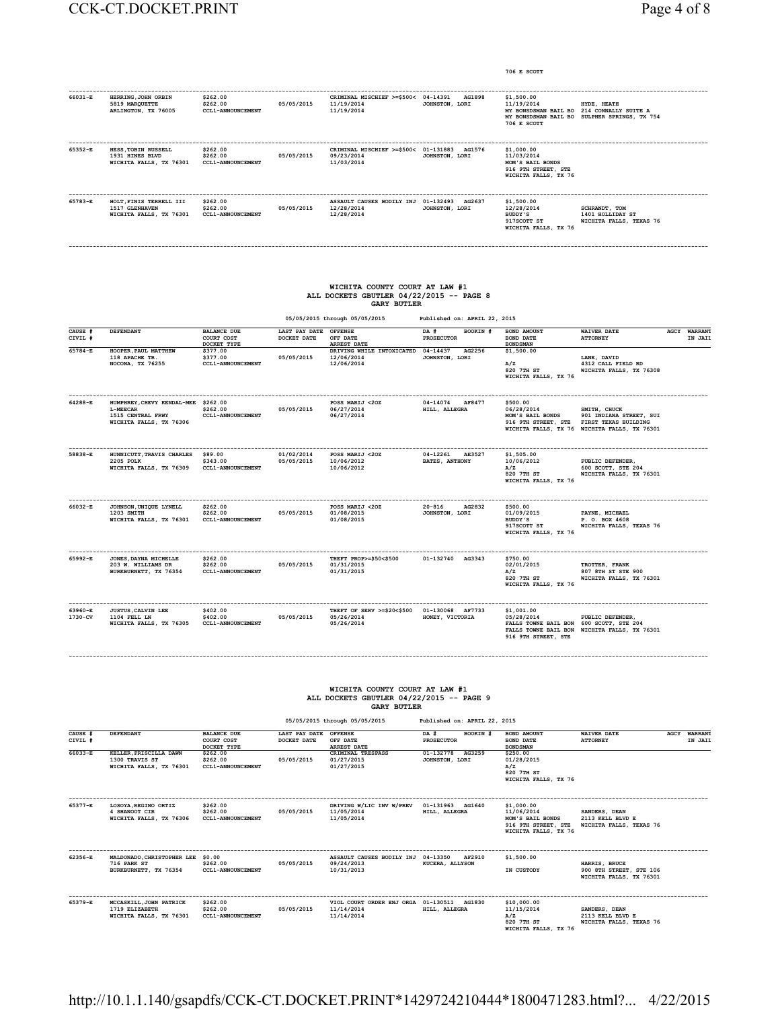|                    |                                                                                                                    |                                                 |                                      |                                                                                                  |                                          | 706 E SCOTT                                                                                 |                                                                                                                                     |                         |
|--------------------|--------------------------------------------------------------------------------------------------------------------|-------------------------------------------------|--------------------------------------|--------------------------------------------------------------------------------------------------|------------------------------------------|---------------------------------------------------------------------------------------------|-------------------------------------------------------------------------------------------------------------------------------------|-------------------------|
| 66031-E            | HERRING, JOHN ORBIN<br>5819 MARQUETTE<br>ARLINGTON, TX 76005                                                       | \$262.00<br>\$262.00<br>CCL1-ANNOUNCEMENT       | 05/05/2015                           | CRIMINAL MISCHIEF >=\$500< 04-14391<br>11/19/2014<br>11/19/2014                                  | AG1898<br>JOHNSTON, LORI                 | \$1,500.00<br>11/19/2014<br>706 E SCOTT                                                     | HYDE, HEATH<br>MY BONSDSMAN BAIL BO 214 CONNALLY SUITE A<br>MY BONSDSMAN BAIL BO SULPHER SPRINGS, TX 754                            |                         |
| 65352-E            | HESS, TOBIN RUSSELL<br>1931 HINES BLVD<br>WICHITA FALLS, TX 76301                                                  | \$262.00<br>\$262.00<br>CCL1-ANNOUNCEMENT       | 05/05/2015                           | CRIMINAL MISCHIEF >=\$500< 01-131883 AG1576<br>09/23/2014<br>11/03/2014                          | JOHNSTON, LORI                           | \$1,000.00<br>11/03/2014<br>MOM'S BAIL BONDS<br>916 9TH STREET, STE<br>WICHITA FALLS, TX 76 |                                                                                                                                     |                         |
| 65783-E            | HOLT. FINIS TERRELL III<br>1517 GLENHAVEN<br>WICHITA FALLS, TX 76301                                               | \$262.00<br>\$262.00<br>CCL1-ANNOUNCEMENT       | 05/05/2015                           | ASSAULT CAUSES BODILY INJ 01-132493 AG2637<br>12/28/2014<br>12/28/2014                           | JOHNSTON, LORI                           | \$1,500,00<br>12/28/2014<br>BUDDY'S<br>917SCOTT ST<br>WICHITA FALLS, TX 76                  | SCHRANDT, TOM<br>1401 HOLLIDAY ST<br>WICHITA FALLS, TEXAS 76                                                                        |                         |
|                    |                                                                                                                    |                                                 |                                      | WICHITA COUNTY COURT AT LAW #1<br>ALL DOCKETS GBUTLER 04/22/2015 -- PAGE 8<br><b>GARY BUTLER</b> |                                          |                                                                                             |                                                                                                                                     |                         |
|                    |                                                                                                                    |                                                 | LAST PAY DATE OFFENSE                | 05/05/2015 through 05/05/2015                                                                    | Published on: APRIL 22, 2015             |                                                                                             |                                                                                                                                     |                         |
| CAUSE #<br>CIVIL # | DEFENDANT                                                                                                          | <b>BALANCE DUE</b><br>COURT COST<br>DOCKET TYPE | DOCKET DATE                          | OFF DATE<br><b>ARREST DATE</b>                                                                   | DA #<br>BOOKIN #<br><b>PROSECUTOR</b>    | BOND AMOUNT<br>BOND DATE<br><b>BONDSMAN</b>                                                 | <b>WAIVER DATE</b><br><b>ATTORNEY</b>                                                                                               | AGCY WARRANT<br>IN JAII |
| 65784-E            | HOOPER, PAUL MATTHEW<br>118 APACHE TR.<br>NOCONA, TX 76255                                                         | \$377.00<br>\$377.00<br>CCL1-ANNOUNCEMENT       | 05/05/2015                           | DRIVING WHILE INTOXICATED 04-14437<br>12/06/2014<br>12/06/2014                                   | AG2256<br>JOHNSTON, LORI                 | \$1,500.00<br>A/Z<br>820 7TH ST<br>WICHITA FALLS, TX 76                                     | LANE, DAVID<br>4312 CALL FIELD RD<br>WICHITA FALLS, TX 76308                                                                        |                         |
| 64288-E            | HUMPHREY, CHEVY KENDAL-MEE \$262.00<br>L-MEECAR<br>1515 CENTRAL FRWY<br>WICHITA FALLS, TX 76306                    | \$262.00<br><b>CCL1-ANNOUNCEMENT</b>            | 05/05/2015                           | POSS MARIJ <20Z<br>06/27/2014<br>06/27/2014                                                      | 04-14074 AF8477<br>HILL, ALLEGRA         | \$500.00<br>06/28/2014<br>MOM'S BATL BONDS                                                  | SMITH, CHUCK<br>901 INDIANA STREET, SUI<br>916 9TH STREET, STE FIRST TEXAS BUILDING<br>WICHITA FALLS, TX 76 WICHITA FALLS, TX 76301 |                         |
| 58838-E            | -------------------------------------<br>HUNNICUTT, TRAVIS CHARLES \$89.00<br>2205 POLK<br>WICHITA FALLS, TX 76309 | \$343.00<br>CCL1-ANNOUNCEMENT                   | 01/02/2014<br>05/05/2015             | POSS MARIJ <20Z<br>10/06/2012<br>10/06/2012                                                      | 04-12261 AE3527<br><b>BATES, ANTHONY</b> | \$1,505.00<br>10/06/2012<br>A/Z<br>820 7TH ST<br>WICHITA FALLS, TX 76                       | PUBLIC DEFENDER,<br>600 SCOTT, STE 204<br>WICHITA FALLS, TX 76301                                                                   |                         |
| 66032-E            | JOHNSON, UNIQUE LYNELL<br>1203 SMITH<br>WICHITA FALLS, TX 76301                                                    | \$262.00<br>\$262.00<br>CCL1-ANNOUNCEMENT       | 05/05/2015                           | POSS MARIJ <20Z<br>01/08/2015<br>01/08/2015                                                      | $20 - 816$<br>AG2832<br>JOHNSTON, LORI   | \$500.00<br>01/09/2015<br>BUDDY'S<br>917SCOTT ST<br>WICHITA FALLS, TX 76                    | PAYNE, MICHAEL<br>P. O. BOX 4608<br>WICHITA FALLS, TEXAS 76                                                                         |                         |
| 65992-E            | JONES, DAYNA MICHELLE<br>203 W. WILLIAMS DR<br>BURKBURNETT, TX 76354                                               | \$262.00<br>\$262.00<br>CCL1-ANNOUNCEMENT       | 05/05/2015                           | THEFT PROP>=\$50<\$500<br>01/31/2015<br>01/31/2015                                               | 01-132740 AG3343                         | \$750.00<br>02/01/2015<br>A/Z<br>820 7TH ST<br>WICHITA FALLS, TX 76                         | TROTTER, FRANK<br>807 8TH ST STE 900<br>WICHITA FALLS, TX 76301                                                                     |                         |
| 63960-E<br>1730-CV | <b>JUSTUS, CALVIN LEE</b><br>1104 FELL LN<br>WICHITA FALLS, TX 76305                                               | \$402.00<br>\$402.00<br>CCL1-ANNOUNCEMENT       | 05/05/2015                           | THEFT OF SERV >=\$20<\$500 01-130068 AF7733<br>05/26/2014<br>05/26/2014                          | HONEY, VICTORIA                          | \$1.001.00<br>05/28/2014<br>FALLS TOWNE BAIL BON 600 SCOTT, STE 204<br>916 9TH STREET, STE  | PUBLIC DEFENDER,<br>FALLS TOWNE BAIL BON WICHITA FALLS, TX 76301                                                                    |                         |
|                    |                                                                                                                    |                                                 |                                      | WICHITA COUNTY COURT AT LAW #1<br>ALL DOCKETS GBUTLER 04/22/2015 -- PAGE 9<br><b>GARY BUTLER</b> |                                          |                                                                                             |                                                                                                                                     |                         |
|                    |                                                                                                                    |                                                 |                                      | 05/05/2015 through 05/05/2015                                                                    | Published on: APRIL 22, 2015             |                                                                                             |                                                                                                                                     |                         |
| CAUSE #<br>CIVIL # | DEFENDANT                                                                                                          | <b>BALANCE DUE</b><br>COURT COST<br>DOCKET TYPE | LAST PAY DATE OFFENSE<br>DOCKET DATE | OFF DATE<br><b>ARREST DATE</b>                                                                   | DA #<br>BOOKIN #<br><b>PROSECUTOR</b>    | BOND AMOUNT<br><b>BOND DATE</b><br><b>BONDSMAN</b>                                          | <b>WAIVER DATE</b><br><b>ATTORNEY</b>                                                                                               | AGCY WARRANT<br>IN JAII |
| $66033 - E$        | KELLER, PRISCILLA DAWN<br>1300 TRAVIS ST<br>WICHITA FALLS, TX 76301                                                | \$262.00<br>\$262.00<br>CCL1-ANNOUNCEMENT       | 05/05/2015                           | CRIMINAL TRESPASS<br>01/27/2015<br>01/27/2015                                                    | 01-132778<br>AG3259<br>JOHNSTON, LORI    | \$250.00<br>01/28/2015<br>A/Z<br>820 7TH ST<br>WICHITA FALLS, TX 76                         |                                                                                                                                     |                         |
| 65377-E            | LOSOYA, REGINO ORTIZ<br>4 SHANOOT CIR<br>WICHITA FALLS, TX 76306                                                   | \$262.00<br>\$262.00<br>CCL1-ANNOUNCEMENT       | 05/05/2015                           | DRIVING W/LIC INV W/PREV 01-131963 AG1640<br>11/05/2014<br>11/05/2014                            | HILL, ALLEGRA                            | \$1,000.00<br>11/06/2014<br>MOM'S BAIL BONDS<br>WICHITA FALLS, TX 76                        | SANDERS, DEAN<br>2113 KELL BLVD E<br>916 9TH STREET, STE WICHITA FALLS, TEXAS 76                                                    |                         |
| 62356-E            | MALDONADO. CHRISTOPHER LEE \$0.00<br>716 PARK ST<br>BURKBURNETT, TX 76354                                          | \$262.00<br><b>CCL1-ANNOUNCEMENT</b>            | 05/05/2015                           | ASSAULT CAUSES BODILY INJ 04-13350 AF2910<br>09/24/2013<br>10/31/2013                            | KUCERA, ALLYSON                          | .<br>\$1,500.00<br>IN CUSTODY                                                               | HARRIS, BRUCE<br>900 8TH STREET, STE 106<br>WICHITA FALLS, TX 76301                                                                 |                         |
| 65379-E            | MCCASKILL, JOHN PATRICK<br>1719 ELIZABETH<br>WICHITA FALLS, TX 76301                                               | \$262.00<br>\$262.00<br>CCL1-ANNOUNCEMENT       | 05/05/2015                           | VIOL COURT ORDER ENJ ORGA 01-130511 AG1830<br>11/14/2014<br>11/14/2014                           | HILL, ALLEGRA                            | \$10,000.00<br>11/15/2014<br>A/Z<br>820 7TH ST<br>WICHITA FALLS, TX 76                      | SANDERS, DEAN<br>2113 KELL BLVD E<br>WICHITA FALLS, TEXAS 76                                                                        |                         |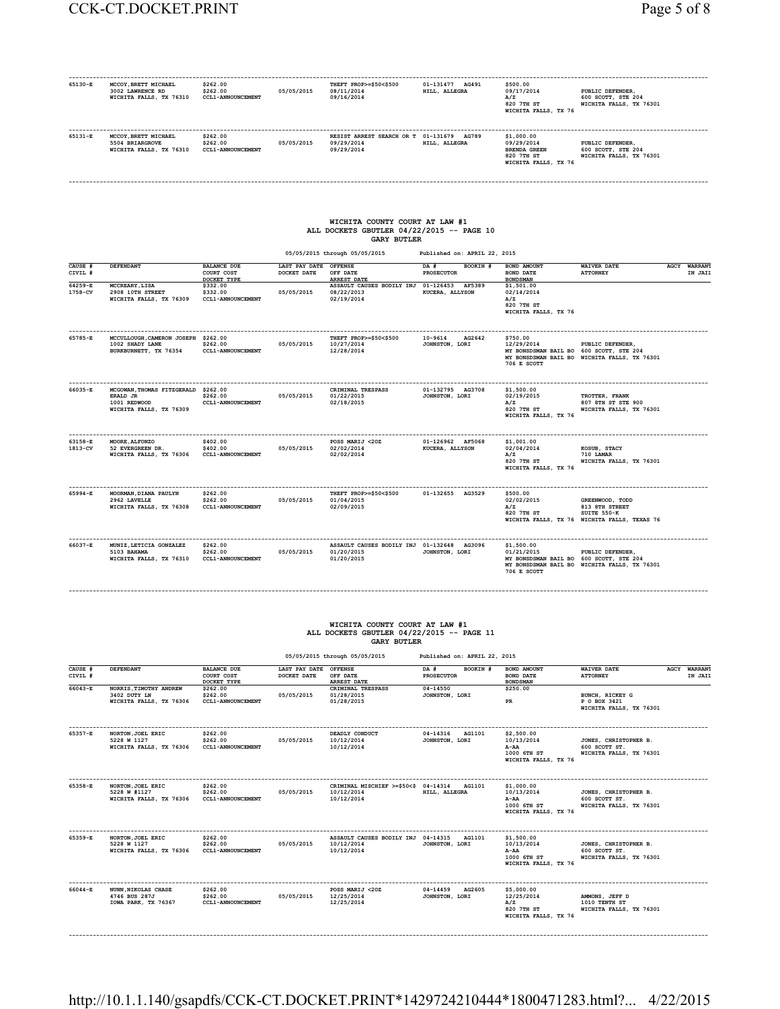| 65130-E            | MCCOY, BRETT MICHAEL<br>3002 LAWRENCE RD<br>WICHITA FALLS, TX 76310 | \$262.00<br>\$262.00<br><b>CCL1-ANNOUNCEMENT</b> | 05/05/2015                   | THEFT PROP>=\$50<\$500<br>08/11/2014<br>09/16/2014                                                | 01-131477 AG491<br>HILL, ALLEGRA | \$500.00<br>09/17/2014<br>A/Z<br>820 7TH ST<br>WICHITA FALLS, TX 76                   | PUBLIC DEFENDER.<br>600 SCOTT, STE 204<br>WICHITA FALLS, TX 76301 |                                   |
|--------------------|---------------------------------------------------------------------|--------------------------------------------------|------------------------------|---------------------------------------------------------------------------------------------------|----------------------------------|---------------------------------------------------------------------------------------|-------------------------------------------------------------------|-----------------------------------|
| 65131-E            | MCCOY, BRETT MICHAEL<br>5504 BRIARGROVE<br>WICHITA FALLS, TX 76310  | \$262.00<br>\$262.00<br><b>CCL1-ANNOUNCEMENT</b> | 05/05/2015                   | RESIST ARREST SEARCH OR T 01-131679<br>09/29/2014<br>09/29/2014                                   | <b>AG789</b><br>HILL, ALLEGRA    | \$1,000.00<br>09/29/2014<br><b>BRENDA GREEN</b><br>820 7TH ST<br>WICHITA FALLS, TX 76 | PUBLIC DEFENDER,<br>600 SCOTT, STE 204<br>WICHITA FALLS, TX 76301 |                                   |
|                    |                                                                     |                                                  |                              |                                                                                                   |                                  |                                                                                       |                                                                   |                                   |
|                    |                                                                     |                                                  |                              | WICHITA COUNTY COURT AT LAW #1<br>ALL DOCKETS GBUTLER 04/22/2015 -- PAGE 10<br><b>GARY BUTLER</b> |                                  |                                                                                       |                                                                   |                                   |
|                    |                                                                     |                                                  |                              | 05/05/2015 through 05/05/2015                                                                     | Published on: APRIL 22, 2015     |                                                                                       |                                                                   |                                   |
| CAUSE #<br>CIVIL # | <b>DEFENDANT</b>                                                    | <b>BALANCE DUE</b><br>COURT COST                 | LAST PAY DATE<br>DOCKET DATE | <b>OFFENSE</b><br>OFF DATE                                                                        | DA #<br>BOOKIN #<br>PROSECUTOR   | <b>BOND AMOUNT</b><br><b>BOND DATE</b>                                                | <b>WAIVER DATE</b><br><b>ATTORNEY</b>                             | <b>WARRANT</b><br>AGCY<br>IN JAIL |

 $\texttt{64259-E}\texttt{MCCREARY,LISA}\texttt{DONDSMAN}\texttt{DONSE} \texttt{MNEST} \texttt{MNSANT\_CANSE} \texttt{DONES} \texttt{DONES} \texttt{DONES} \texttt{DONES} \texttt{DONES} \texttt{DONES} \texttt{DONES} \texttt{DONES} \texttt{DONES} \texttt{DONSE} \texttt{DONSE} \texttt{DONSE} \texttt{DONSE} \texttt{DONSE} \texttt{DONSE} \texttt{DONSE} \texttt{DONSE} \texttt{DONSE} \texttt{DONSE} \texttt{DONSE} \text$  **820 7TH ST** 

| 65785-E            | MCCULLOUGH, CAMERON JOSEPH \$262.00<br>1002 SHADY LANE<br>BURKBURNETT, TX 76354           | \$262.00<br><b>CCL1-ANNOUNCEMENT</b>             | 05/05/2015 | THEFT PROP>=\$50<\$500<br>10/27/2014<br>12/28/2014                     | AG2642<br>10-9614<br>JOHNSTON, LORI        | \$750.00<br>12/29/2014<br>MY BONSDSMAN BAIL BO 600 SCOTT, STE 204<br>706 E SCOTT   | PUBLIC DEFENDER.<br>MY BONSDSMAN BAIL BO WICHITA FALLS, TX 76301                                 |
|--------------------|-------------------------------------------------------------------------------------------|--------------------------------------------------|------------|------------------------------------------------------------------------|--------------------------------------------|------------------------------------------------------------------------------------|--------------------------------------------------------------------------------------------------|
| 66035-E            | MCGOWAN.THOMAS FITZGERALD \$262.00<br>ERALD JR<br>1001 REDWOOD<br>WICHITA FALLS, TX 76309 | \$262.00<br><b>CCL1-ANNOUNCEMENT</b>             | 05/05/2015 | CRIMINAL TRESPASS<br>01/22/2015<br>02/18/2015                          | 01-132795 AG3708<br>JOHNSTON, LORI         | \$1,500,00<br>02/19/2015<br>A/Z<br>820 7TH ST<br>WICHITA FALLS, TX 76              | TROTTER, FRANK<br>807 8TH ST STE 900<br>WICHITA FALLS, TX 76301                                  |
| 63158-E<br>1813-CV | MOORE, ALFONZO<br>52 EVERGREEN DR.<br>WICHITA FALLS, TX 76306                             | \$402.00<br>\$402.00<br><b>CCL1-ANNOUNCEMENT</b> | 05/05/2015 | POSS MARIJ <20Z<br>02/02/2014<br>02/02/2014                            | 01-126962 AF5068<br><b>KUCERA, ALLYSON</b> | \$1.001.00<br>02/04/2014<br>A/Z<br>820 7TH ST<br>WICHITA FALLS, TX 76              | KOSUB, STACY<br>710 LAMAR<br>WICHITA FALLS, TX 76301                                             |
| 65994-E            | MOORMAN, DIANA PAULYN<br>2962 LAVELLE<br>WICHITA FALLS, TX 76308                          | \$262.00<br>\$262.00<br><b>CCL1-ANNOUNCEMENT</b> | 05/05/2015 | THEFT PROP>=\$50<\$500<br>01/04/2015<br>02/09/2015                     | 01-132655 AG3529                           | \$500.00<br>02/02/2015<br>A/Z<br>820 7TH ST                                        | GREENWOOD, TODD<br>813 STH STREET<br>SUITE 550-K<br>WICHITA FALLS, TX 76 WICHITA FALLS, TEXAS 76 |
| 66037-E            | MUNIZ, LETICIA GONZALEZ<br>5103 BAHAMA<br>WICHITA FALLS, TX 76310                         | \$262.00<br>\$262.00<br><b>CCL1-ANNOUNCEMENT</b> | 05/05/2015 | ASSAULT CAUSES BODILY INJ 01-132648 AG3096<br>01/20/2015<br>01/20/2015 | JOHNSTON, LORI                             | \$1,500.00<br>01/21/2015<br>MY BONSDSMAN BAIL BO 600 SCOTT, STE 204<br>706 E SCOTT | PUBLIC DEFENDER,<br>MY BONSDSMAN BAIL BO WICHITA FALLS, TX 76301                                 |

**WICHITA FALLS, TX 76**

# **WICHITA COUNTY COURT AT LAW #1 ALL DOCKETS GBUTLER 04/22/2015 -- PAGE 11 GARY BUTLER**

**------------------------------------------------------------------------------------------------------------------------------------------------------------------------------------------**

|                                   |                                                              |                                                             |                                      | 05/05/2015 through 05/05/2015                                           | Published on: APRIL 22, 2015                      |                                                                         |                                                                   |                                |
|-----------------------------------|--------------------------------------------------------------|-------------------------------------------------------------|--------------------------------------|-------------------------------------------------------------------------|---------------------------------------------------|-------------------------------------------------------------------------|-------------------------------------------------------------------|--------------------------------|
| CAUSE #<br>CIVIL #<br>$66043 - E$ | <b>DEFENDANT</b><br>NORRIS, TIMOTHY ANDREW                   | <b>BALANCE DUE</b><br>COURT COST<br>DOCKET TYPE<br>\$262.00 | LAST PAY DATE OFFENSE<br>DOCKET DATE | OFF DATE<br><b>ARREST DATE</b><br>CRIMINAL TRESPASS                     | BOOKIN #<br>DA #<br><b>PROSECUTOR</b><br>04-14550 | BOND AMOUNT<br><b>BOND DATE</b><br><b>BONDSMAN</b><br>\$250.00          | <b>WAIVER DATE</b><br><b>ATTORNEY</b>                             | <b>AGCY WARRANT</b><br>IN JAIL |
|                                   | 3402 DUTY LN<br>WICHITA FALLS, TX 76306                      | \$262.00<br><b>CCL1-ANNOUNCEMENT</b>                        | 05/05/2015                           | 01/28/2015<br>01/28/2015                                                | JOHNSTON, LORI                                    | PR                                                                      | BUNCH, RICKEY G<br>P O BOX 3421<br>WICHITA FALLS, TX 76301        |                                |
| 65357-E                           | NORTON, JOEL ERIC<br>5228 W 1127<br>WICHITA FALLS, TX 76306  | \$262.00<br>\$262.00<br><b>CCL1-ANNOUNCEMENT</b>            | 05/05/2015                           | DEADLY CONDUCT<br>10/12/2014<br>10/12/2014                              | 04-14316<br>AG1101<br>JOHNSTON, LORI              | \$2,500.00<br>10/13/2014<br>A-AA<br>1000 6TH ST<br>WICHITA FALLS, TX 76 | JONES, CHRISTOPHER B.<br>600 SCOTT ST.<br>WICHITA FALLS, TX 76301 |                                |
| 65358-E                           | NORTON, JOEL ERIC<br>5228 W #1127<br>WICHITA FALLS, TX 76306 | \$262.00<br>\$262.00<br><b>CCL1-ANNOUNCEMENT</b>            | 05/05/2015                           | CRIMINAL MISCHIEF >=\$50<\$ 04-14314 AG1101<br>10/12/2014<br>10/12/2014 | HILL, ALLEGRA                                     | \$1,000.00<br>10/13/2014<br>A-AA<br>1000 6TH ST<br>WICHITA FALLS, TX 76 | JONES, CHRISTOPHER B.<br>600 SCOTT ST.<br>WICHITA FALLS, TX 76301 |                                |
| 65359-E                           | NORTON, JOEL ERIC<br>5228 W 1127<br>WICHITA FALLS, TX 76306  | \$262.00<br>\$262.00<br>CCL1-ANNOUNCEMENT                   | 05/05/2015                           | ASSAULT CAUSES BODILY INJ 04-14315<br>10/12/2014<br>10/12/2014          | AG1101<br>JOHNSTON, LORI                          | \$1,500.00<br>10/13/2014<br>A-AA<br>1000 6TH ST<br>WICHITA FALLS, TX 76 | JONES, CHRISTOPHER B.<br>600 SCOTT ST.<br>WICHITA FALLS, TX 76301 |                                |
| 66044-E                           | NUNN, NIKOLAS CHASE<br>4746 BUS 287J<br>IOWA PARK, TX 76367  | \$262.00<br>\$262.00<br><b>CCL1-ANNOUNCEMENT</b>            | 05/05/2015                           | POSS MARIJ <20Z<br>12/25/2014<br>12/25/2014                             | 04-14459<br>AG2605<br>JOHNSTON, LORI              | \$5,000.00<br>12/25/2014<br>A/Z<br>820 7TH ST<br>WICHITA FALLS, TX 76   | AMMONS, JEFF D<br>1010 TENTH ST<br>WICHITA FALLS, TX 76301        |                                |

http://10.1.1.140/gsapdfs/CCK-CT.DOCKET.PRINT\*1429724210444\*1800471283.html?... 4/22/2015

**------------------------------------------------------------------------------------------------------------------------------------------------------------------------------------------**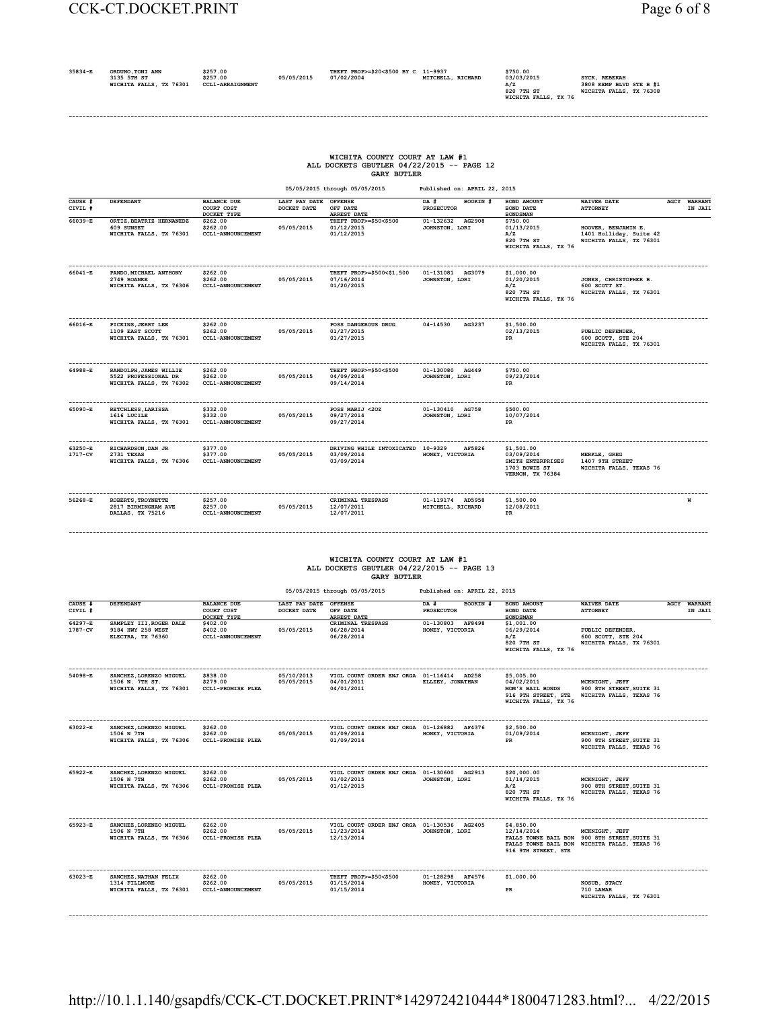| 35834-E | ORDUNO, TONI ANN<br>3135 5TH ST<br>WICHITA FALLS, TX 76301 | \$257.00<br>\$257.00<br><b>CCL1-ARRAIGNMENT</b> | 05/05/2015 | THEFT PROP>=\$20<\$500 BY C 11-9937<br>07/02/2004 | MITCHELL, RICHARD | \$750.00<br>03/03/2015<br>820 7TH ST | SYCK, REBEKAH<br>3808 KEMP BLVD STE B #1<br>WICHITA FALLS, TX 76308 |
|---------|------------------------------------------------------------|-------------------------------------------------|------------|---------------------------------------------------|-------------------|--------------------------------------|---------------------------------------------------------------------|
|         |                                                            |                                                 |            |                                                   |                   | WICHITA FALLS, TX 76                 |                                                                     |

**------------------------------------------------------------------------------------------------------------------------------------------------------------------------------------------**

### **WICHITA COUNTY COURT AT LAW #1 ALL DOCKETS GBUTLER 04/22/2015 -- PAGE 12 GARY BUTLER**

 **05/05/2015 through 05/05/2015 Published on: APRIL 22, 2015**

| CAUSE #<br>CIVIL # | DEFENDANT                                                                 | <b>BALANCE DUE</b><br>COURT COST<br>DOCKET TYPE  | LAST PAY DATE<br>DOCKET DATE | <b>OFFENSE</b><br>OFF DATE<br><b>ARREST DATE</b>              | DA #<br>BOOKIN #<br><b>PROSECUTOR</b> | <b>BOND AMOUNT</b><br><b>BOND DATE</b><br><b>BONDSMAN</b>                          | <b>WAIVER DATE</b><br><b>ATTORNEY</b>                                     | <b>AGCY WARRANT</b><br>IN JAII |
|--------------------|---------------------------------------------------------------------------|--------------------------------------------------|------------------------------|---------------------------------------------------------------|---------------------------------------|------------------------------------------------------------------------------------|---------------------------------------------------------------------------|--------------------------------|
| 66039-E            | ORTIZ.BEATRIZ HERNANEDZ<br>609 SUNSET<br>WICHITA FALLS, TX 76301          | \$262.00<br>\$262.00<br><b>CCL1-ANNOUNCEMENT</b> | 05/05/2015                   | THEFT PROP>=\$50<\$500<br>01/12/2015<br>01/12/2015            | 01-132632<br>AG2908<br>JOHNSTON, LORI | \$750.00<br>01/13/2015<br>A/Z<br>820 7TH ST<br>WICHITA FALLS, TX 76                | HOOVER, BENJAMIN E.<br>1401 Holliday, Suite 42<br>WICHITA FALLS, TX 76301 |                                |
| 66041-E            | PANDO, MICHAEL ANTHONY<br>2749 ROANKE<br>WICHITA FALLS, TX 76306          | \$262.00<br>\$262.00<br><b>CCL1-ANNOUNCEMENT</b> | 05/05/2015                   | THEFT PROP>=\$500<\$1,500<br>07/16/2014<br>01/20/2015         | 01-131081 AG3079<br>JOHNSTON, LORI    | \$1,000.00<br>01/20/2015<br>A/Z<br>820 7TH ST<br>WICHITA FALLS, TX 76              | JONES, CHRISTOPHER B.<br>600 SCOTT ST.<br>WICHITA FALLS, TX 76301         |                                |
| 66016-E            | PICKINS, JERRY LEE<br>1109 EAST SCOTT<br>WICHITA FALLS, TX 76301          | \$262.00<br>\$262.00<br><b>CCL1-ANNOUNCEMENT</b> | 05/05/2015                   | POSS DANGEROUS DRUG<br>01/27/2015<br>01/27/2015               | 04-14530<br>AG3237                    | \$1,500,00<br>02/13/2015<br>PR                                                     | PUBLIC DEFENDER.<br>600 SCOTT, STE 204<br>WICHITA FALLS, TX 76301         |                                |
| 64988-E            | RANDOLPH, JAMES WILLIE<br>5522 PROFESSIONAL DR<br>WICHITA FALLS, TX 76302 | \$262.00<br>\$262.00<br><b>CCL1-ANNOUNCEMENT</b> | 05/05/2015                   | THEFT PROP>=\$50<\$500<br>04/09/2014<br>09/14/2014            | 01-130080 AG449<br>JOHNSTON, LORI     | \$750.00<br>09/23/2014<br>PR                                                       |                                                                           |                                |
| 65090-E            | RETCHLESS, LARISSA<br>1616 LUCILE<br>WICHITA FALLS, TX 76301              | \$332.00<br>\$332.00<br><b>CCL1-ANNOUNCEMENT</b> | 05/05/2015                   | POSS MARIJ <20Z<br>09/27/2014<br>09/27/2014                   | 01-130410 AG758<br>JOHNSTON, LORI     | \$500.00<br>10/07/2014<br>PR                                                       |                                                                           |                                |
| 63250-E<br>1717-CV | RICHARDSON, DAN JR<br>2731 TEXAS<br>WICHITA FALLS, TX 76306               | \$377.00<br>\$377.00<br><b>CCL1-ANNOUNCEMENT</b> | 05/05/2015                   | DRIVING WHILE INTOXICATED 10-9329<br>03/09/2014<br>03/09/2014 | AF5826<br>HONEY, VICTORIA             | \$1,501.00<br>03/09/2014<br>SMITH ENTERPRISES<br>1703 BOWIE ST<br>VERNON, TX 76384 | MERKLE, GREG<br>1407 9TH STREET<br>WICHITA FALLS, TEXAS 76                |                                |
| $56268 - E$        | ROBERTS, TROYNETTE<br>2817 BIRMINGHAM AVE<br>DALLAS, TX 75216             | \$257.00<br>\$257.00<br><b>CCL1-ANNOUNCEMENT</b> | 05/05/2015                   | CRIMINAL TRESPASS<br>12/07/2011<br>12/07/2011                 | 01-119174 AD5958<br>MITCHELL, RICHARD | \$1,500.00<br>12/08/2011<br>PR                                                     |                                                                           | И                              |

### **WICHITA COUNTY COURT AT LAW #1 ALL DOCKETS GBUTLER 04/22/2015 -- PAGE 13 GARY BUTLER**

**------------------------------------------------------------------------------------------------------------------------------------------------------------------------------------------**

|                        | 05/05/2015 through 05/05/2015<br>Published on: APRIL 22, 2015         |                                                  |                                      |                                                                        |                                       |                                                                                             |                                                                                                                 |  |                                |  |  |  |
|------------------------|-----------------------------------------------------------------------|--------------------------------------------------|--------------------------------------|------------------------------------------------------------------------|---------------------------------------|---------------------------------------------------------------------------------------------|-----------------------------------------------------------------------------------------------------------------|--|--------------------------------|--|--|--|
| CAUSE #<br>CIVIL #     | <b>DEFENDANT</b>                                                      | <b>BALANCE DUE</b><br>COURT COST<br>DOCKET TYPE  | LAST PAY DATE OFFENSE<br>DOCKET DATE | OFF DATE<br><b>ARREST DATE</b>                                         | BOOKIN #<br>DA #<br><b>PROSECUTOR</b> | BOND AMOUNT<br><b>BOND DATE</b><br><b>BONDSMAN</b>                                          | <b>WAIVER DATE</b><br><b>ATTORNEY</b>                                                                           |  | <b>AGCY WARRANT</b><br>IN JAIL |  |  |  |
| $64297 - E$<br>1787-CV | SAMPLEY III, ROGER DALE<br>9184 HWY 258 WEST<br>ELECTRA, TX 76360     | \$402.00<br>\$402.00<br><b>CCL1-ANNOUNCEMENT</b> | 05/05/2015                           | CRIMINAL TRESPASS<br>06/28/2014<br>06/28/2014                          | 01-130803 AF8498<br>HONEY, VICTORIA   | \$1.001.00<br>06/29/2014<br>A/Z<br>820 7TH ST<br>WICHITA FALLS, TX 76                       | PUBLIC DEFENDER,<br>600 SCOTT, STE 204<br>WICHITA FALLS, TX 76301                                               |  |                                |  |  |  |
| 54098-E                | SANCHEZ, LORENZO MIGUEL<br>1506 N. 7TH ST.<br>WICHITA FALLS, TX 76301 | \$838.00<br>\$279.00<br><b>CCL1-PROMISE PLEA</b> | 05/10/2013<br>05/05/2015             | VIOL COURT ORDER ENJ ORGA 01-116414 AD258<br>04/01/2011<br>04/01/2011  | ELLZEY, JONATHAN                      | \$5,005.00<br>04/02/2011<br>MOM'S BAIL BONDS<br>916 9TH STREET, STE<br>WICHITA FALLS, TX 76 | MCKNIGHT, JEFF<br>900 8TH STREET, SUITE 31<br>WICHITA FALLS, TEXAS 76                                           |  |                                |  |  |  |
| 63022-E                | SANCHEZ, LORENZO MIGUEL<br>1506 N 7TH<br>WICHITA FALLS, TX 76306      | \$262.00<br>\$262.00<br><b>CCL1-PROMISE PLEA</b> | 05/05/2015                           | VIOL COURT ORDER ENJ ORGA 01-126882 AF4376<br>01/09/2014<br>01/09/2014 | HONEY, VICTORIA                       | \$2,500.00<br>01/09/2014<br>PR                                                              | MCKNIGHT, JEFF<br>900 8TH STREET, SUITE 31<br>WICHITA FALLS, TEXAS 76                                           |  |                                |  |  |  |
| 65922-E                | SANCHEZ, LORENZO MIGUEL<br>1506 N 7TH<br>WICHITA FALLS, TX 76306      | \$262.00<br>\$262.00<br><b>CCL1-PROMISE PLEA</b> | 05/05/2015                           | VIOL COURT ORDER ENJ ORGA 01-130600 AG2913<br>01/02/2015<br>01/12/2015 | JOHNSTON, LORI                        | \$20,000.00<br>01/14/2015<br>A/Z<br>820 7TH ST<br>WICHITA FALLS, TX 76                      | MCKNIGHT, JEFF<br>900 8TH STREET, SUITE 31<br>WICHITA FALLS, TEXAS 76                                           |  |                                |  |  |  |
| 65923-E                | SANCHEZ, LORENZO MIGUEL<br>1506 N 7TH<br>WICHITA FALLS, TX 76306      | \$262.00<br>\$262.00<br><b>CCL1-PROMISE PLEA</b> | 05/05/2015                           | VIOL COURT ORDER ENJ ORGA 01-130536 AG2405<br>11/23/2014<br>12/13/2014 | JOHNSTON, LORI                        | \$4,850.00<br>12/14/2014<br>916 9TH STREET, STE                                             | MCKNIGHT, JEFF<br>FALLS TOWNE BAIL BON 900 8TH STREET. SUITE 31<br>FALLS TOWNE BAIL BON WICHITA FALLS, TEXAS 76 |  |                                |  |  |  |
| 63023-E                | SANCHEZ, NATHAN FELIX<br>1314 FILLMORE<br>WICHITA FALLS, TX 76301     | \$262.00<br>\$262.00<br><b>CCL1-ANNOUNCEMENT</b> | 05/05/2015                           | THEFT PROP>=\$50<\$500<br>01/15/2014<br>01/15/2014                     | 01-128298 AF4576<br>HONEY, VICTORIA   | \$1,000.00<br><b>PR</b>                                                                     | KOSUB, STACY<br>710 LAMAR<br>WICHITA FALLS, TX 76301                                                            |  |                                |  |  |  |

http://10.1.1.140/gsapdfs/CCK-CT.DOCKET.PRINT\*1429724210444\*1800471283.html?... 4/22/2015

**------------------------------------------------------------------------------------------------------------------------------------------------------------------------------------------**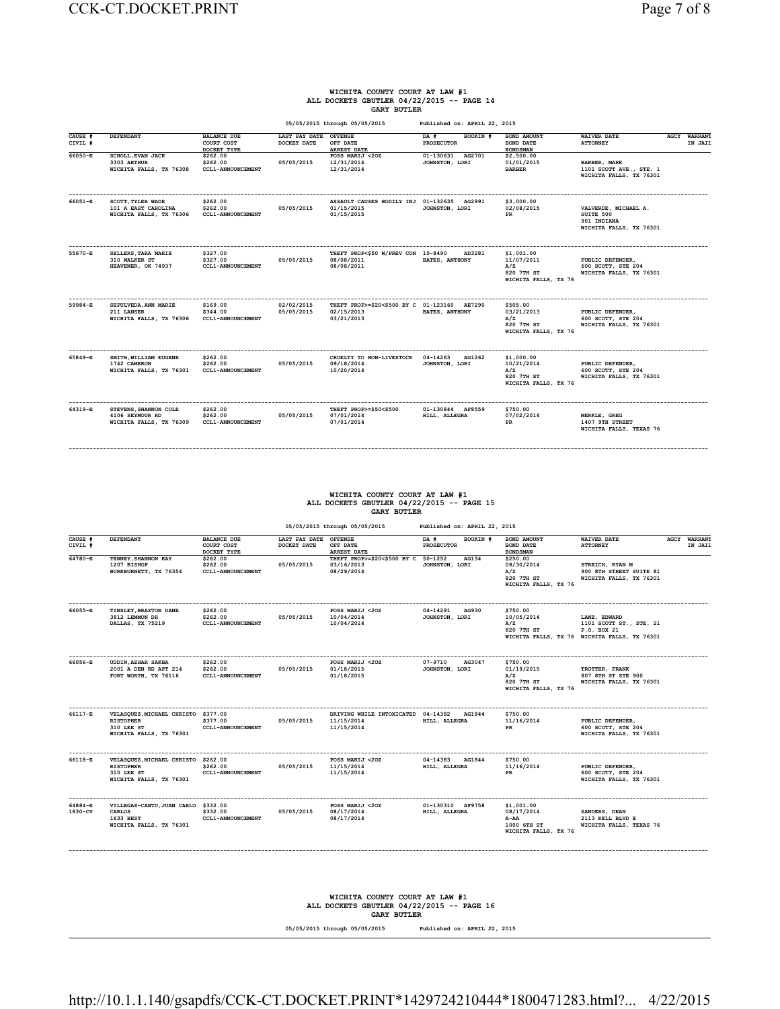#### **WICHITA COUNTY COURT AT LAW #1 ALL DOCKETS GBUTLER 04/22/2015 -- PAGE 14 GARY BUTLER**

 **05/05/2015 through 05/05/2015 Published on: APRIL 22, 2015 CAUSE # DEFENDANT BALANCE DUE LAST PAY DATE OFFENSE DA # BOOKIN # BOND AMOUNT WAIVER DATE AGCY WARRANT CIVIL # COURT COST DOCKET DATE OFF DATE PROSECUTOR BOND DATE ATTORNEY IN JAIL DOCKET TYPE ARREST DATE BONDSMAN 66050-E SCHOLL,EVAN JACK \$262.00 POSS MARIJ <2OZ 01-130631 AG2701 \$2,500.00**  3303 ARTHUR \$262.00 05/05/2015 12/31/2014 JOHNSTON, LORI 01/01/2015 BARBER MARK DIRE DEARBER ARKE ARK<br>**WICHITA FALLS, TX 76308 CCL1-ANNOUNCEMENT 12/31/2014** 12/31/2014 **BARBER, MARK<br>1101 SCOTT AVE., STE. 1<br>WICHITA FALLS, TX 76301 ------------------------------------------------------------------------------------------------------------------------------------------------------------------------------------------ 66051-E SCOTT,TYLER WADE \$262.00 ASSAULT CAUSES BODILY INJ 01-132635 AG2991 \$3,000.00 101 A EAST CAROLINA \$262.00 05/05/2015 01/15/2015 JOHNSTON, LORI 02/08/2015 VALVERDE, MICHAEL A. WICHITA FALLS, TX 76306 CCL1-ANNOUNCEMENT 01/15/2015 PR SUITE 500 901 INDIANA WICHITA FALLS, TX 76301 ------------------------------------------------------------------------------------------------------------------------------------------------------------------------------------------ 55670-E SELLERS,TARA MARIE \$327.00 THEFT PROP<\$50 W/PREV CON 10-8490 AD3281 \$1,001.00 310 WALKER ST \$327.00 05/05/2015 08/08/2011 BATES, ANTHONY 11/07/2011 PUBLIC DEFENDER, HEAVENER, OK 74937 CCL1-ANNOUNCEMENT 08/08/2011 A/Z 600 SCOTT, STE 204 820 7TH ST WICHITA FALLS, TX 76301 A/Z**<br>**820 7TH ST<br>WICHITA FALLS, TX 76 ------------------------------------------------------------------------------------------------------------------------------------------------------------------------------------------ 59984-E SEPULVEDA,ANN MARIE \$169.00 02/02/2015 THEFT PROP>=\$20<\$500 BY C 01-123160 AE7290 \$505.00 211 LANSER \$344.00 05/05/2015 02/15/2013 BATES, ANTHONY 03/21/2013 PUBLIC DEFENDER, WICHITA FALLS, TX 76306 CCL1-ANNOUNCEMENT 03/21/2013 A/Z 600 SCOTT, STE 204 820 7TH ST WICHITA FALLS, TX 76301 WICHITA FALLS, TX 76 ------------------------------------------------------------------------------------------------------------------------------------------------------------------------------------------ 65849-E SMITH,WILLIAM EUGENE \$262.00 CRUELTY TO NON-LIVESTOCK 04-14263 AG1262 \$1,000.00 1742 CAMERON \$262.00 05/05/2015 09/18/2014 JOHNSTON, LORI 10/21/2014 PUBLIC DEFENDER, WICHITA FALLS, TX 76301 CCL1-ANNOUNCEMENT 10/20/2014 A/Z 600 SCOTT, STE 204 820 7TH ST WICHITA FALLS, TX 76301 M/Z**<br>**820 7TH ST<br>WICHITA FALLS, TX 76 ------------------------------------------------------------------------------------------------------------------------------------------------------------------------------------------ 64319-E STEVENS,SHANNON COLE \$262.00 THEFT PROP>=\$50<\$500 01-130844 AF8559 \$750.00 4106 SEYMOUR RD \$262.00 05/05/2015 07/01/2014 HILL, ALLEGRA 07/02/2014 MERKLE, GREG WICHITA FALLS, TX 76309 CCL1-ANNOUNCEMENT 07/01/2014 PR 1407 9TH STREET WICHITA FALLS, TEXAS 76**

#### **WICHITA COUNTY COURT AT LAW #1 ALL DOCKETS GBUTLER 04/22/2015 -- PAGE 15 GARY BUTLER**

**------------------------------------------------------------------------------------------------------------------------------------------------------------------------------------------**

|                    |                                                                                                  |                                                  |                                      | 05/05/2015 through 05/05/2015                                   | Published on: APRIL 22, 2015            |                                                                         |                                                                                                        |                                |
|--------------------|--------------------------------------------------------------------------------------------------|--------------------------------------------------|--------------------------------------|-----------------------------------------------------------------|-----------------------------------------|-------------------------------------------------------------------------|--------------------------------------------------------------------------------------------------------|--------------------------------|
| CAUSE #<br>CIVIL # | DEFENDANT                                                                                        | <b>BALANCE DUE</b><br>COURT COST<br>DOCKET TYPE  | LAST PAY DATE OFFENSE<br>DOCKET DATE | OFF DATE<br>ARREST DATE                                         | DA #<br>BOOKIN #<br><b>PROSECUTOR</b>   | BOND AMOUNT<br><b>BOND DATE</b><br><b>BONDSMAN</b>                      | <b>WAIVER DATE</b><br><b>ATTORNEY</b>                                                                  | <b>AGCY WARRANT</b><br>IN JAII |
| 64780-E            | TENNEY, SHANNON KAY<br>1207 BISHOP<br>BURKBURNETT, TX 76354                                      | \$262.00<br>\$262.00<br><b>CCL1-ANNOUNCEMENT</b> | 05/05/2015                           | THEFT PROP>=\$20<\$500 BY C 50-1252<br>03/16/2013<br>08/29/2014 | AG134<br>JOHNSTON, LORI                 | \$250.00<br>08/30/2014<br>A/Z<br>820 7TH ST<br>WICHITA FALLS, TX 76     | STREICH, RYAN M<br>900 8TH STREET SUITE 81<br>WICHITA FALLS, TX 76301                                  |                                |
| 66055-E            | TINSLEY, BRAXTON DANE<br>3812 LEMMON DR<br>DALLAS, TX 75219                                      | \$262.00<br>\$262.00<br><b>CCL1-ANNOUNCEMENT</b> | 05/05/2015                           | POSS MARIJ <20Z<br>10/04/2014<br>10/04/2014                     | 04-14291<br>AG930<br>JOHNSTON, LORI     | \$750.00<br>10/05/2014<br>A/Z<br>820 7TH ST                             | LANE, EDWARD<br>1101 SCOTT ST., STE. 21<br>P.O. BOX 21<br>WICHITA FALLS, TX 76 WICHITA FALLS, TX 76301 |                                |
| 66056-E            | <b>UDDIN, AZHAR SAKHA</b><br>2001 A DEN RD APT 214<br>FORT WORTH, TX 76116                       | \$262.00<br>\$262.00<br><b>CCL1-ANNOUNCEMENT</b> | 05/05/2015                           | POSS MARIJ <20Z<br>01/18/2015<br>01/18/2015                     | $07 - 9710$<br>AG3047<br>JOHNSTON, LORI | \$750.00<br>01/19/2015<br>A/Z<br>820 7TH ST<br>WICHITA FALLS, TX 76     | TROTTER, FRANK<br>807 8TH ST STE 900<br>WICHITA FALLS, TX 76301                                        |                                |
| 66117-E            | VELASQUEZ, MICHAEL CHRISTO \$377.00<br><b>RISTOPHER</b><br>310 LEE ST<br>WICHITA FALLS, TX 76301 | \$377.00<br><b>CCL1-ANNOUNCEMENT</b>             | 05/05/2015                           | DRIVING WHILE INTOXICATED 04-14382<br>11/15/2014<br>11/15/2014  | AG1844<br>HILL, ALLEGRA                 | \$750.00<br>11/16/2014<br>PR                                            | PUBLIC DEFENDER,<br>600 SCOTT, STE 204<br>WICHITA FALLS, TX 76301                                      |                                |
| 66118-E            | VELASQUEZ, MICHAEL CHRISTO \$262.00<br><b>RISTOPHER</b><br>310 LEE ST<br>WICHITA FALLS, TX 76301 | \$262.00<br><b>CCL1-ANNOUNCEMENT</b>             | 05/05/2015                           | POSS MARIJ <20Z<br>11/15/2014<br>11/15/2014                     | 04-14383 AG1844<br>HILL, ALLEGRA        | \$750.00<br>11/16/2014<br>PR                                            | PUBLIC DEFENDER,<br>600 SCOTT, STE 204<br>WICHITA FALLS, TX 76301                                      |                                |
| 64884-E<br>1830-CV | VILLEGAS-CANTU, JUAN CARLO \$332.00<br>CARLOS<br>1633 BEST<br>WICHITA FALLS, TX 76301            | \$332.00<br><b>CCL1-ANNOUNCEMENT</b>             | 05/05/2015                           | POSS MARIJ <20Z<br>08/17/2014<br>08/17/2014                     | 01-130310 AF9758<br>HILL, ALLEGRA       | \$1,001.00<br>08/17/2014<br>A-AA<br>1000 6TH ST<br>WICHITA FALLS, TX 76 | SANDERS, DEAN<br>2113 KELL BLVD E<br>WICHITA FALLS, TEXAS 76                                           |                                |

 **WICHITA COUNTY COURT AT LAW #1 ALL DOCKETS GBUTLER 04/22/2015 -- PAGE 16 GARY BUTLER**

**------------------------------------------------------------------------------------------------------------------------------------------------------------------------------------------**

 **05/05/2015 through 05/05/2015 Published on: APRIL 22, 2015**

http://10.1.1.140/gsapdfs/CCK-CT.DOCKET.PRINT\*1429724210444\*1800471283.html?... 4/22/2015